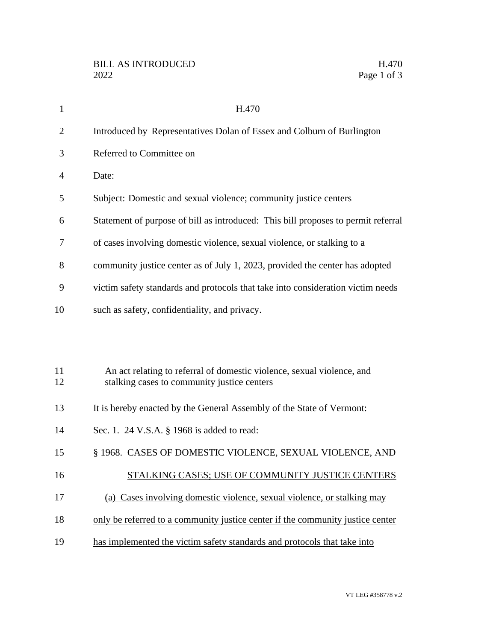| $\mathbf{1}$   | H.470                                                                                                                 |
|----------------|-----------------------------------------------------------------------------------------------------------------------|
| $\overline{2}$ | Introduced by Representatives Dolan of Essex and Colburn of Burlington                                                |
| 3              | Referred to Committee on                                                                                              |
| 4              | Date:                                                                                                                 |
| 5              | Subject: Domestic and sexual violence; community justice centers                                                      |
| 6              | Statement of purpose of bill as introduced: This bill proposes to permit referral                                     |
| 7              | of cases involving domestic violence, sexual violence, or stalking to a                                               |
| 8              | community justice center as of July 1, 2023, provided the center has adopted                                          |
| 9              | victim safety standards and protocols that take into consideration victim needs                                       |
| 10             | such as safety, confidentiality, and privacy.                                                                         |
|                |                                                                                                                       |
|                |                                                                                                                       |
| 11<br>12       | An act relating to referral of domestic violence, sexual violence, and<br>stalking cases to community justice centers |
|                |                                                                                                                       |
| 13             | It is hereby enacted by the General Assembly of the State of Vermont:                                                 |
| 14             | Sec. 1. 24 V.S.A. § 1968 is added to read:                                                                            |
| 15             | § 1968. CASES OF DOMESTIC VIOLENCE, SEXUAL VIOLENCE, AND                                                              |
| 16             | STALKING CASES; USE OF COMMUNITY JUSTICE CENTERS                                                                      |
| 17             | (a) Cases involving domestic violence, sexual violence, or stalking may                                               |
| 18             | only be referred to a community justice center if the community justice center                                        |

19 has implemented the victim safety standards and protocols that take into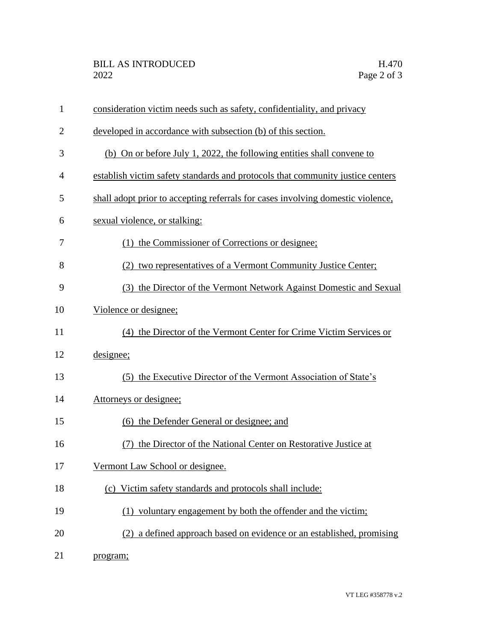| $\mathbf{1}$   | consideration victim needs such as safety, confidentiality, and privacy         |
|----------------|---------------------------------------------------------------------------------|
| $\overline{2}$ | developed in accordance with subsection (b) of this section.                    |
| 3              | (b) On or before July 1, 2022, the following entities shall convene to          |
| 4              | establish victim safety standards and protocols that community justice centers  |
| 5              | shall adopt prior to accepting referrals for cases involving domestic violence, |
| 6              | sexual violence, or stalking:                                                   |
| 7              | (1) the Commissioner of Corrections or designee;                                |
| 8              | (2) two representatives of a Vermont Community Justice Center;                  |
| 9              | (3) the Director of the Vermont Network Against Domestic and Sexual             |
| 10             | Violence or designee;                                                           |
| 11             | (4) the Director of the Vermont Center for Crime Victim Services or             |
| 12             | designee;                                                                       |
| 13             | (5) the Executive Director of the Vermont Association of State's                |
| 14             | Attorneys or designee;                                                          |
| 15             | (6) the Defender General or designee; and                                       |
| 16             | (7) the Director of the National Center on Restorative Justice at               |
| 17             | Vermont Law School or designee.                                                 |
| 18             | (c) Victim safety standards and protocols shall include:                        |
| 19             | (1) voluntary engagement by both the offender and the victim;                   |
| 20             | (2) a defined approach based on evidence or an established, promising           |
| 21             | program;                                                                        |